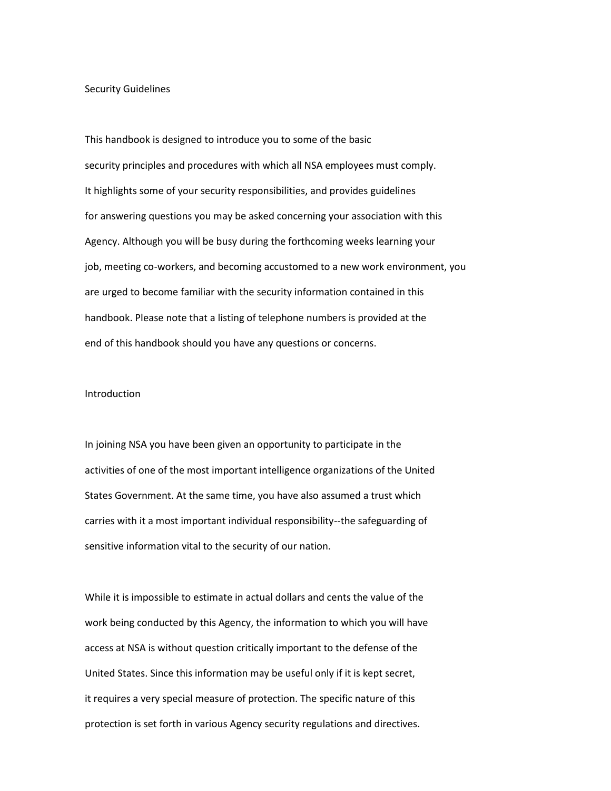#### Security Guidelines

This handbook is designed to introduce you to some of the basic security principles and procedures with which all NSA employees must comply. It highlights some of your security responsibilities, and provides guidelines for answering questions you may be asked concerning your association with this Agency. Although you will be busy during the forthcoming weeks learning your job, meeting co-workers, and becoming accustomed to a new work environment, you are urged to become familiar with the security information contained in this handbook. Please note that a listing of telephone numbers is provided at the end of this handbook should you have any questions or concerns.

# Introduction

In joining NSA you have been given an opportunity to participate in the activities of one of the most important intelligence organizations of the United States Government. At the same time, you have also assumed a trust which carries with it a most important individual responsibility--the safeguarding of sensitive information vital to the security of our nation.

While it is impossible to estimate in actual dollars and cents the value of the work being conducted by this Agency, the information to which you will have access at NSA is without question critically important to the defense of the United States. Since this information may be useful only if it is kept secret, it requires a very special measure of protection. The specific nature of this protection is set forth in various Agency security regulations and directives.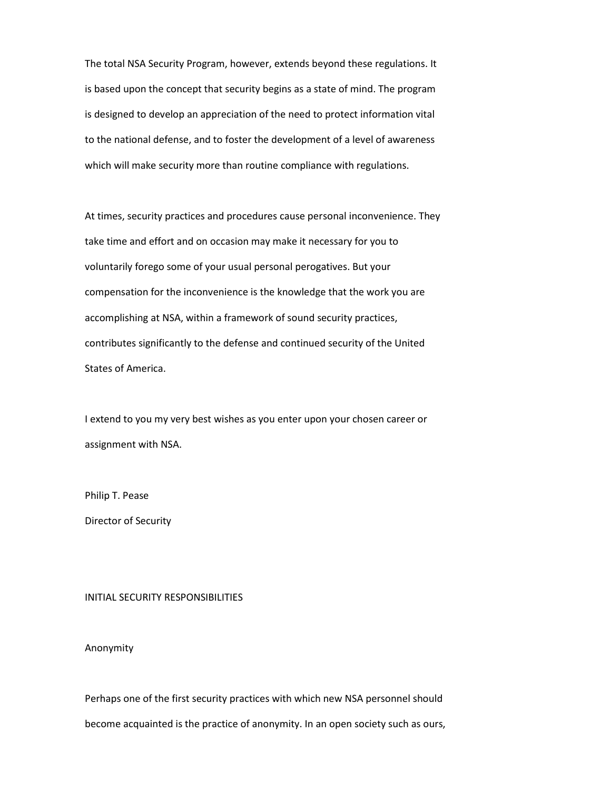The total NSA Security Program, however, extends beyond these regulations. It is based upon the concept that security begins as a state of mind. The program is designed to develop an appreciation of the need to protect information vital to the national defense, and to foster the development of a level of awareness which will make security more than routine compliance with regulations.

At times, security practices and procedures cause personal inconvenience. They take time and effort and on occasion may make it necessary for you to voluntarily forego some of your usual personal perogatives. But your compensation for the inconvenience is the knowledge that the work you are accomplishing at NSA, within a framework of sound security practices, contributes significantly to the defense and continued security of the United States of America.

I extend to you my very best wishes as you enter upon your chosen career or assignment with NSA.

Philip T. Pease

Director of Security

# INITIAL SECURITY RESPONSIBILITIES

Anonymity

Perhaps one of the first security practices with which new NSA personnel should become acquainted is the practice of anonymity. In an open society such as ours,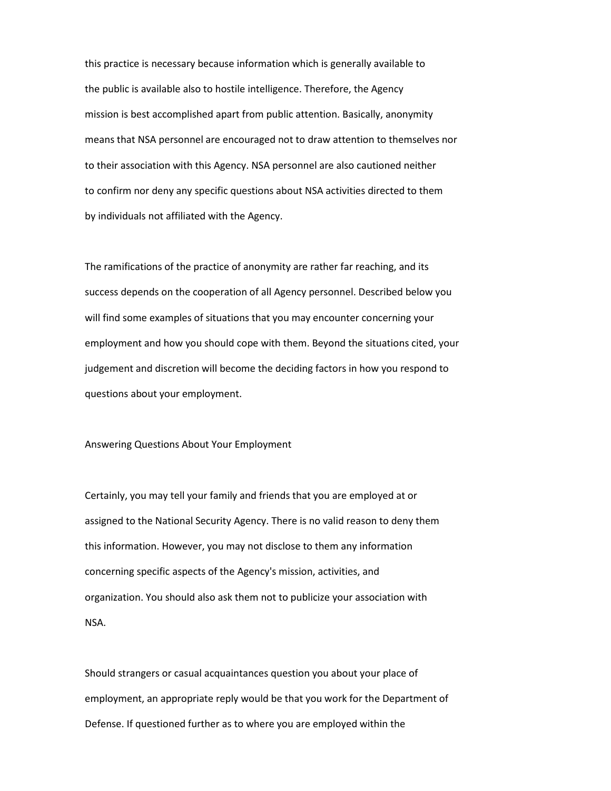this practice is necessary because information which is generally available to the public is available also to hostile intelligence. Therefore, the Agency mission is best accomplished apart from public attention. Basically, anonymity means that NSA personnel are encouraged not to draw attention to themselves nor to their association with this Agency. NSA personnel are also cautioned neither to confirm nor deny any specific questions about NSA activities directed to them by individuals not affiliated with the Agency.

The ramifications of the practice of anonymity are rather far reaching, and its success depends on the cooperation of all Agency personnel. Described below you will find some examples of situations that you may encounter concerning your employment and how you should cope with them. Beyond the situations cited, your judgement and discretion will become the deciding factors in how you respond to questions about your employment.

Answering Questions About Your Employment

Certainly, you may tell your family and friends that you are employed at or assigned to the National Security Agency. There is no valid reason to deny them this information. However, you may not disclose to them any information concerning specific aspects of the Agency's mission, activities, and organization. You should also ask them not to publicize your association with NSA.

Should strangers or casual acquaintances question you about your place of employment, an appropriate reply would be that you work for the Department of Defense. If questioned further as to where you are employed within the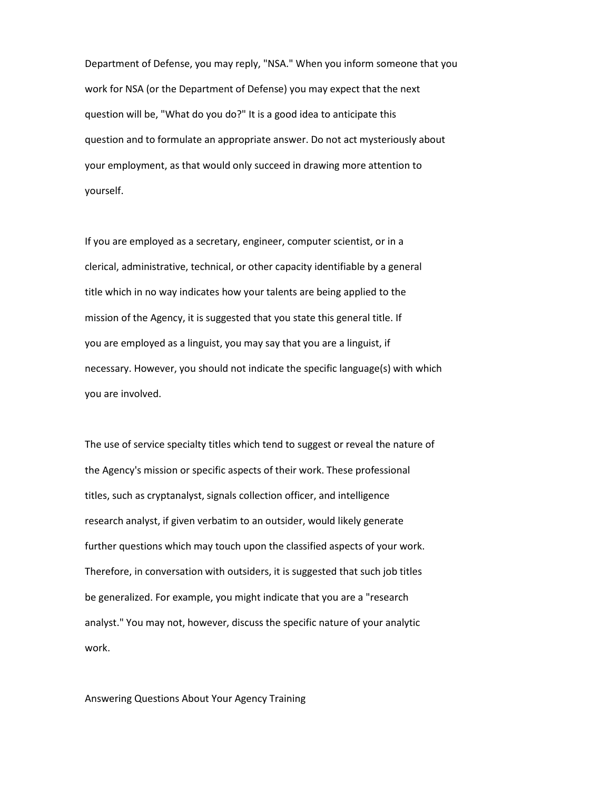Department of Defense, you may reply, "NSA." When you inform someone that you work for NSA (or the Department of Defense) you may expect that the next question will be, "What do you do?" It is a good idea to anticipate this question and to formulate an appropriate answer. Do not act mysteriously about your employment, as that would only succeed in drawing more attention to yourself.

If you are employed as a secretary, engineer, computer scientist, or in a clerical, administrative, technical, or other capacity identifiable by a general title which in no way indicates how your talents are being applied to the mission of the Agency, it is suggested that you state this general title. If you are employed as a linguist, you may say that you are a linguist, if necessary. However, you should not indicate the specific language(s) with which you are involved.

The use of service specialty titles which tend to suggest or reveal the nature of the Agency's mission or specific aspects of their work. These professional titles, such as cryptanalyst, signals collection officer, and intelligence research analyst, if given verbatim to an outsider, would likely generate further questions which may touch upon the classified aspects of your work. Therefore, in conversation with outsiders, it is suggested that such job titles be generalized. For example, you might indicate that you are a "research analyst." You may not, however, discuss the specific nature of your analytic work.

Answering Questions About Your Agency Training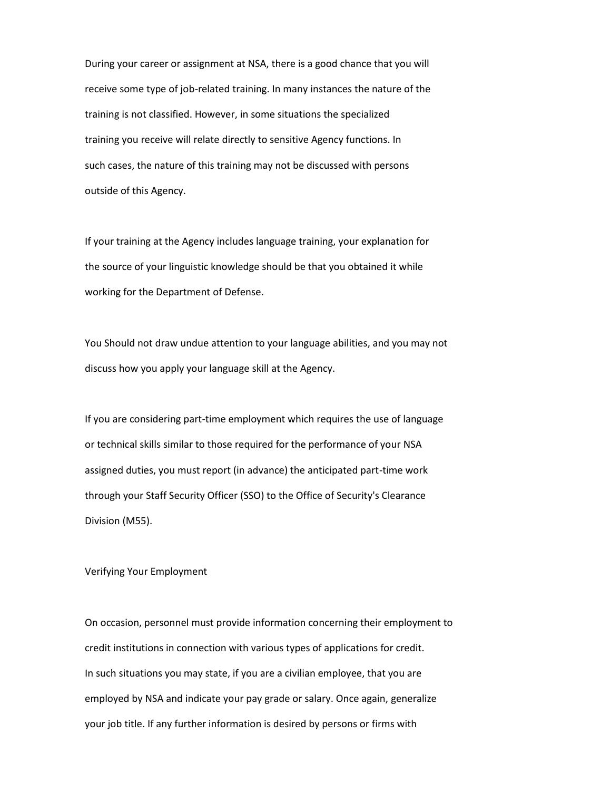During your career or assignment at NSA, there is a good chance that you will receive some type of job-related training. In many instances the nature of the training is not classified. However, in some situations the specialized training you receive will relate directly to sensitive Agency functions. In such cases, the nature of this training may not be discussed with persons outside of this Agency.

If your training at the Agency includes language training, your explanation for the source of your linguistic knowledge should be that you obtained it while working for the Department of Defense.

You Should not draw undue attention to your language abilities, and you may not discuss how you apply your language skill at the Agency.

If you are considering part-time employment which requires the use of language or technical skills similar to those required for the performance of your NSA assigned duties, you must report (in advance) the anticipated part-time work through your Staff Security Officer (SSO) to the Office of Security's Clearance Division (M55).

# Verifying Your Employment

On occasion, personnel must provide information concerning their employment to credit institutions in connection with various types of applications for credit. In such situations you may state, if you are a civilian employee, that you are employed by NSA and indicate your pay grade or salary. Once again, generalize your job title. If any further information is desired by persons or firms with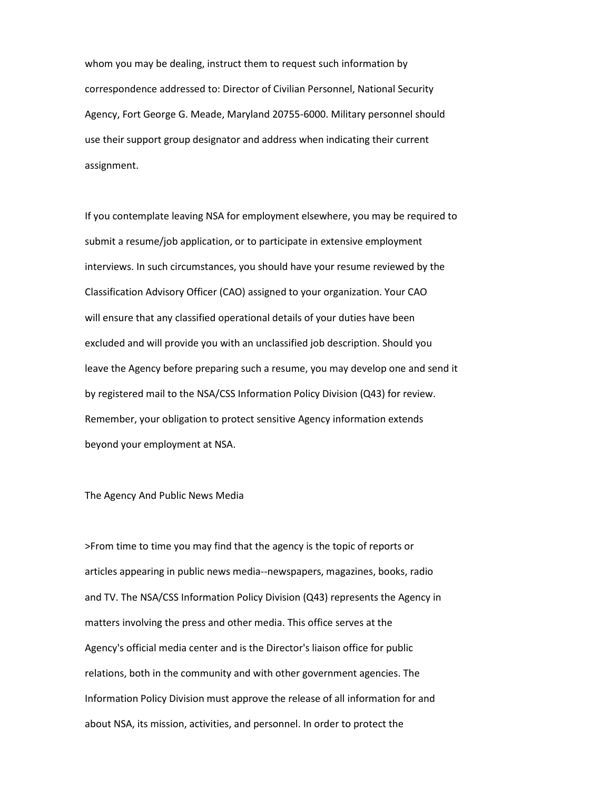whom you may be dealing, instruct them to request such information by correspondence addressed to: Director of Civilian Personnel, National Security Agency, Fort George G. Meade, Maryland 20755-6000. Military personnel should use their support group designator and address when indicating their current assignment.

If you contemplate leaving NSA for employment elsewhere, you may be required to submit a resume/job application, or to participate in extensive employment interviews. In such circumstances, you should have your resume reviewed by the Classification Advisory Officer (CAO) assigned to your organization. Your CAO will ensure that any classified operational details of your duties have been excluded and will provide you with an unclassified job description. Should you leave the Agency before preparing such a resume, you may develop one and send it by registered mail to the NSA/CSS Information Policy Division (Q43) for review. Remember, your obligation to protect sensitive Agency information extends beyond your employment at NSA.

The Agency And Public News Media

>From time to time you may find that the agency is the topic of reports or articles appearing in public news media--newspapers, magazines, books, radio and TV. The NSA/CSS Information Policy Division (Q43) represents the Agency in matters involving the press and other media. This office serves at the Agency's official media center and is the Director's liaison office for public relations, both in the community and with other government agencies. The Information Policy Division must approve the release of all information for and about NSA, its mission, activities, and personnel. In order to protect the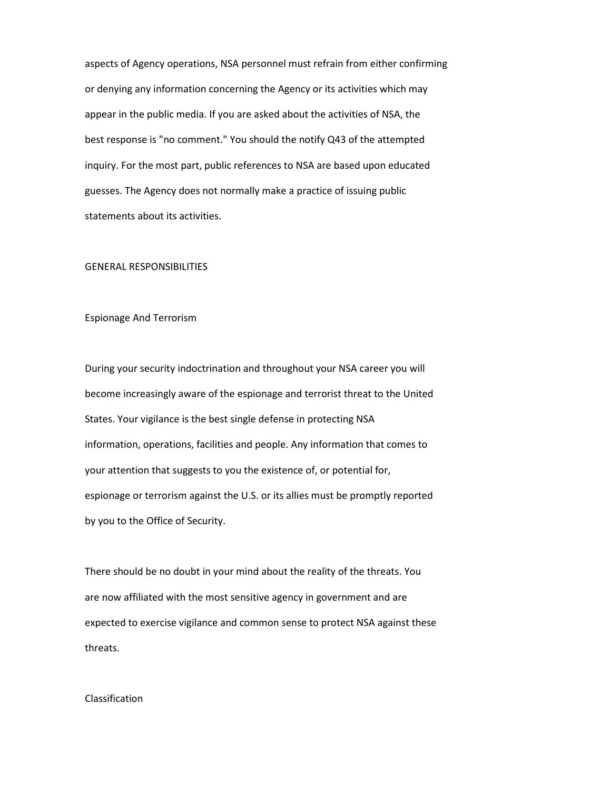aspects of Agency operations, NSA personnel must refrain from either confirming or denying any information concerning the Agency or its activities which may appear in the public media. If you are asked about the activities of NSA, the best response is "no comment." You should the notify Q43 of the attempted inquiry. For the most part, public references to NSA are based upon educated guesses. The Agency does not normally make a practice of issuing public statements about its activities.

# GENERAL RESPONSIBILITIES

## Espionage And Terrorism

During your security indoctrination and throughout your NSA career you will become increasingly aware of the espionage and terrorist threat to the United States. Your vigilance is the best single defense in protecting NSA information, operations, facilities and people. Any information that comes to your attention that suggests to you the existence of, or potential for, espionage or terrorism against the U.S. or its allies must be promptly reported by you to the Office of Security.

There should be no doubt in your mind about the reality of the threats. You are now affiliated with the most sensitive agency in government and are expected to exercise vigilance and common sense to protect NSA against these threats.

#### Classification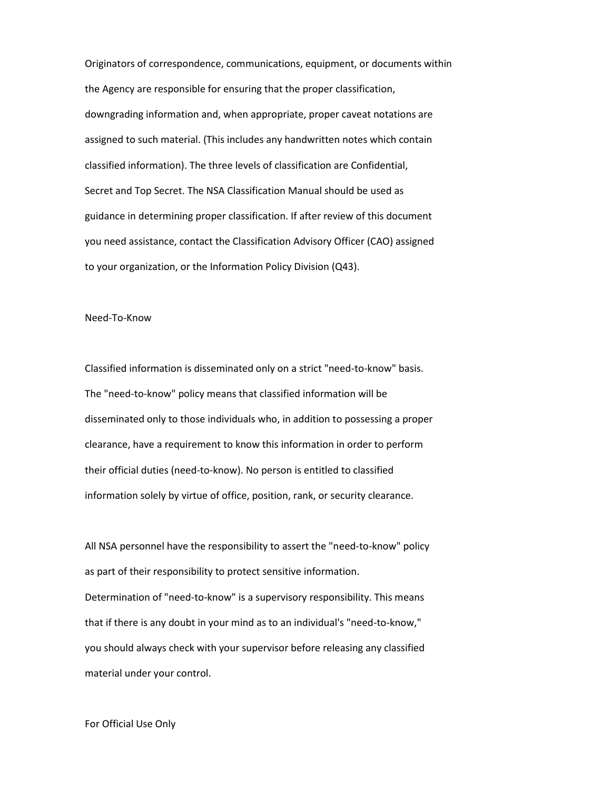Originators of correspondence, communications, equipment, or documents within the Agency are responsible for ensuring that the proper classification, downgrading information and, when appropriate, proper caveat notations are assigned to such material. (This includes any handwritten notes which contain classified information). The three levels of classification are Confidential, Secret and Top Secret. The NSA Classification Manual should be used as guidance in determining proper classification. If after review of this document you need assistance, contact the Classification Advisory Officer (CAO) assigned to your organization, or the Information Policy Division (Q43).

Need-To-Know

Classified information is disseminated only on a strict "need-to-know" basis. The "need-to-know" policy means that classified information will be disseminated only to those individuals who, in addition to possessing a proper clearance, have a requirement to know this information in order to perform their official duties (need-to-know). No person is entitled to classified information solely by virtue of office, position, rank, or security clearance.

All NSA personnel have the responsibility to assert the "need-to-know" policy as part of their responsibility to protect sensitive information. Determination of "need-to-know" is a supervisory responsibility. This means that if there is any doubt in your mind as to an individual's "need-to-know," you should always check with your supervisor before releasing any classified material under your control.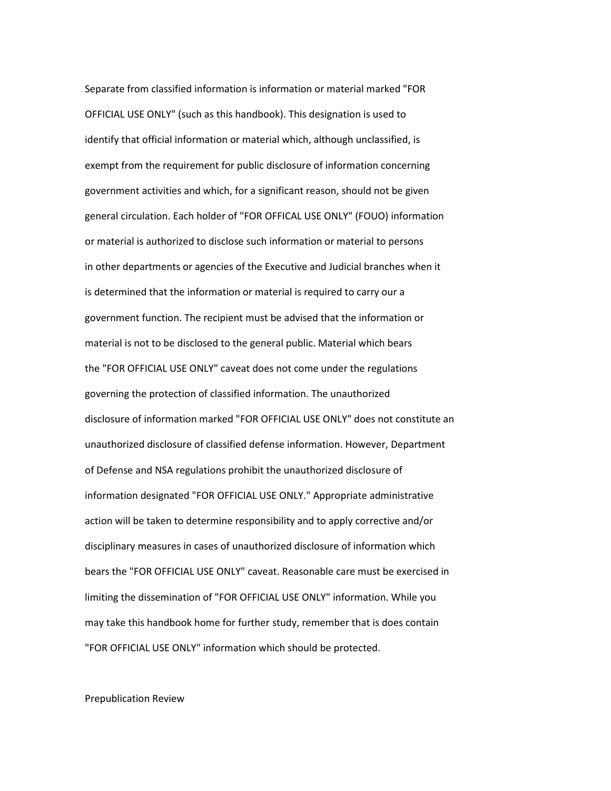Separate from classified information is information or material marked "FOR OFFICIAL USE ONLY" (such as this handbook). This designation is used to identify that official information or material which, although unclassified, is exempt from the requirement for public disclosure of information concerning government activities and which, for a significant reason, should not be given general circulation. Each holder of "FOR OFFICAL USE ONLY" (FOUO) information or material is authorized to disclose such information or material to persons in other departments or agencies of the Executive and Judicial branches when it is determined that the information or material is required to carry our a government function. The recipient must be advised that the information or material is not to be disclosed to the general public. Material which bears the "FOR OFFICIAL USE ONLY" caveat does not come under the regulations governing the protection of classified information. The unauthorized disclosure of information marked "FOR OFFICIAL USE ONLY" does not constitute an unauthorized disclosure of classified defense information. However, Department of Defense and NSA regulations prohibit the unauthorized disclosure of information designated "FOR OFFICIAL USE ONLY." Appropriate administrative action will be taken to determine responsibility and to apply corrective and/or disciplinary measures in cases of unauthorized disclosure of information which bears the "FOR OFFICIAL USE ONLY" caveat. Reasonable care must be exercised in limiting the dissemination of "FOR OFFICIAL USE ONLY" information. While you may take this handbook home for further study, remember that is does contain "FOR OFFICIAL USE ONLY" information which should be protected.

#### Prepublication Review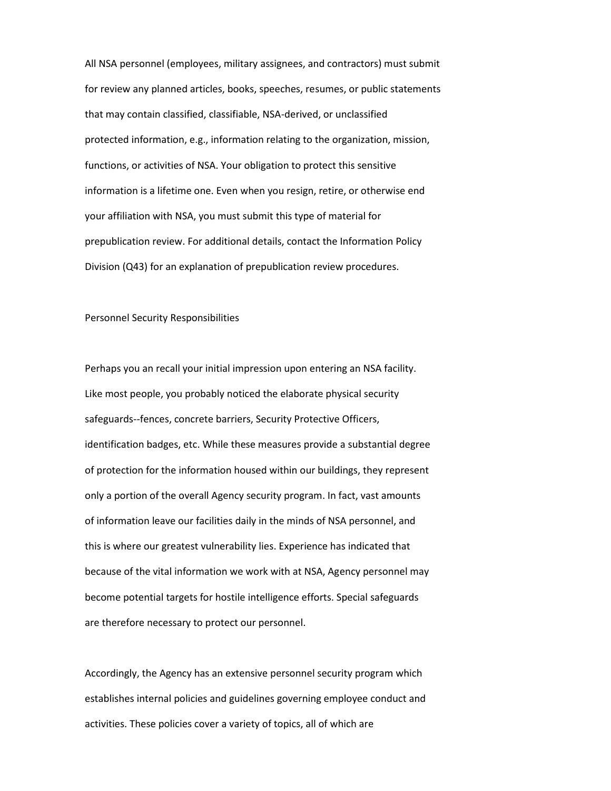All NSA personnel (employees, military assignees, and contractors) must submit for review any planned articles, books, speeches, resumes, or public statements that may contain classified, classifiable, NSA-derived, or unclassified protected information, e.g., information relating to the organization, mission, functions, or activities of NSA. Your obligation to protect this sensitive information is a lifetime one. Even when you resign, retire, or otherwise end your affiliation with NSA, you must submit this type of material for prepublication review. For additional details, contact the Information Policy Division (Q43) for an explanation of prepublication review procedures.

#### Personnel Security Responsibilities

Perhaps you an recall your initial impression upon entering an NSA facility. Like most people, you probably noticed the elaborate physical security safeguards--fences, concrete barriers, Security Protective Officers, identification badges, etc. While these measures provide a substantial degree of protection for the information housed within our buildings, they represent only a portion of the overall Agency security program. In fact, vast amounts of information leave our facilities daily in the minds of NSA personnel, and this is where our greatest vulnerability lies. Experience has indicated that because of the vital information we work with at NSA, Agency personnel may become potential targets for hostile intelligence efforts. Special safeguards are therefore necessary to protect our personnel.

Accordingly, the Agency has an extensive personnel security program which establishes internal policies and guidelines governing employee conduct and activities. These policies cover a variety of topics, all of which are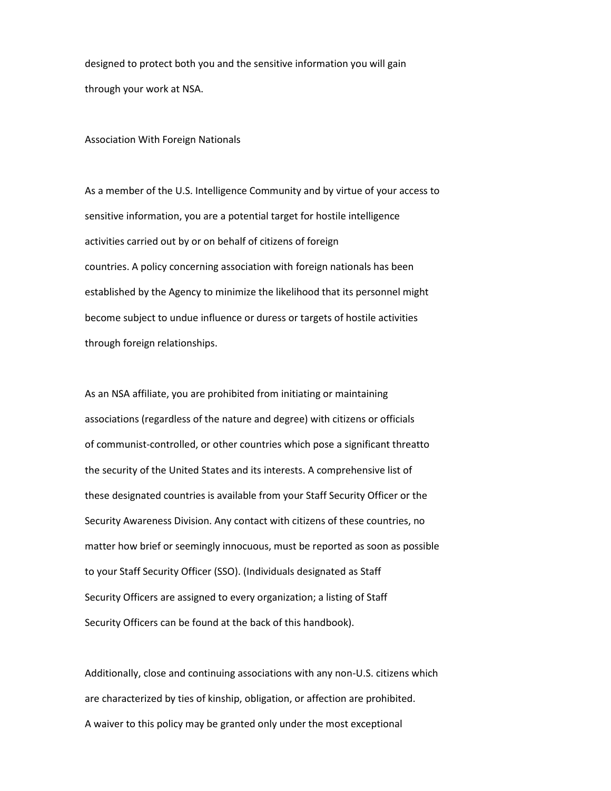designed to protect both you and the sensitive information you will gain through your work at NSA.

Association With Foreign Nationals

As a member of the U.S. Intelligence Community and by virtue of your access to sensitive information, you are a potential target for hostile intelligence activities carried out by or on behalf of citizens of foreign countries. A policy concerning association with foreign nationals has been established by the Agency to minimize the likelihood that its personnel might become subject to undue influence or duress or targets of hostile activities through foreign relationships.

As an NSA affiliate, you are prohibited from initiating or maintaining associations (regardless of the nature and degree) with citizens or officials of communist-controlled, or other countries which pose a significant threatto the security of the United States and its interests. A comprehensive list of these designated countries is available from your Staff Security Officer or the Security Awareness Division. Any contact with citizens of these countries, no matter how brief or seemingly innocuous, must be reported as soon as possible to your Staff Security Officer (SSO). (Individuals designated as Staff Security Officers are assigned to every organization; a listing of Staff Security Officers can be found at the back of this handbook).

Additionally, close and continuing associations with any non-U.S. citizens which are characterized by ties of kinship, obligation, or affection are prohibited. A waiver to this policy may be granted only under the most exceptional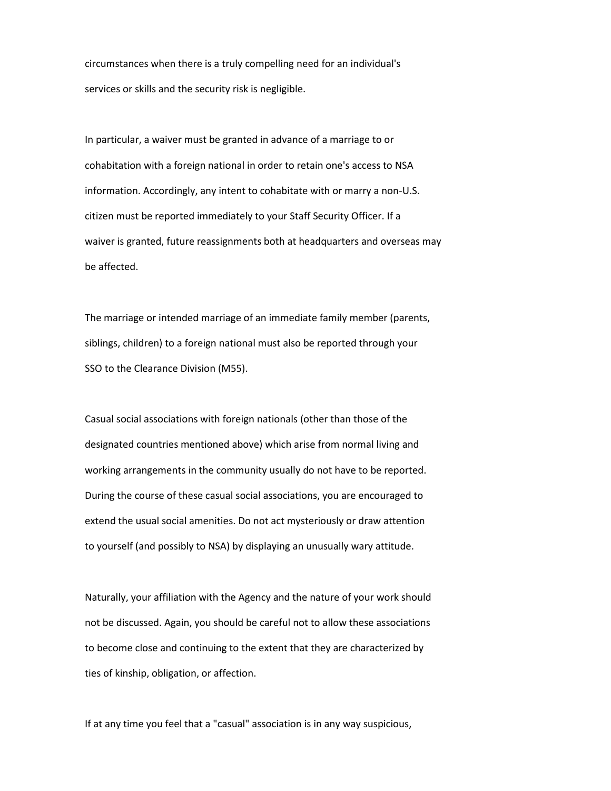circumstances when there is a truly compelling need for an individual's services or skills and the security risk is negligible.

In particular, a waiver must be granted in advance of a marriage to or cohabitation with a foreign national in order to retain one's access to NSA information. Accordingly, any intent to cohabitate with or marry a non-U.S. citizen must be reported immediately to your Staff Security Officer. If a waiver is granted, future reassignments both at headquarters and overseas may be affected.

The marriage or intended marriage of an immediate family member (parents, siblings, children) to a foreign national must also be reported through your SSO to the Clearance Division (M55).

Casual social associations with foreign nationals (other than those of the designated countries mentioned above) which arise from normal living and working arrangements in the community usually do not have to be reported. During the course of these casual social associations, you are encouraged to extend the usual social amenities. Do not act mysteriously or draw attention to yourself (and possibly to NSA) by displaying an unusually wary attitude.

Naturally, your affiliation with the Agency and the nature of your work should not be discussed. Again, you should be careful not to allow these associations to become close and continuing to the extent that they are characterized by ties of kinship, obligation, or affection.

If at any time you feel that a "casual" association is in any way suspicious,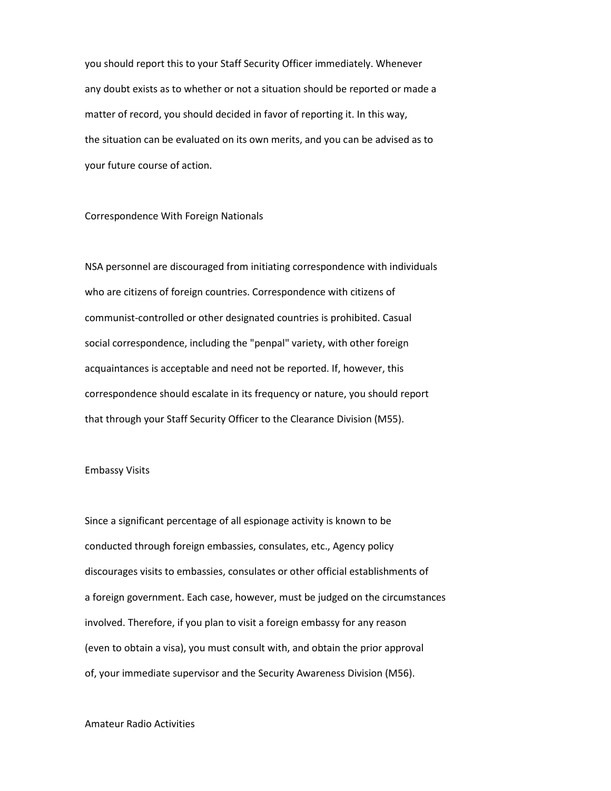you should report this to your Staff Security Officer immediately. Whenever any doubt exists as to whether or not a situation should be reported or made a matter of record, you should decided in favor of reporting it. In this way, the situation can be evaluated on its own merits, and you can be advised as to your future course of action.

# Correspondence With Foreign Nationals

NSA personnel are discouraged from initiating correspondence with individuals who are citizens of foreign countries. Correspondence with citizens of communist-controlled or other designated countries is prohibited. Casual social correspondence, including the "penpal" variety, with other foreign acquaintances is acceptable and need not be reported. If, however, this correspondence should escalate in its frequency or nature, you should report that through your Staff Security Officer to the Clearance Division (M55).

## Embassy Visits

Since a significant percentage of all espionage activity is known to be conducted through foreign embassies, consulates, etc., Agency policy discourages visits to embassies, consulates or other official establishments of a foreign government. Each case, however, must be judged on the circumstances involved. Therefore, if you plan to visit a foreign embassy for any reason (even to obtain a visa), you must consult with, and obtain the prior approval of, your immediate supervisor and the Security Awareness Division (M56).

# Amateur Radio Activities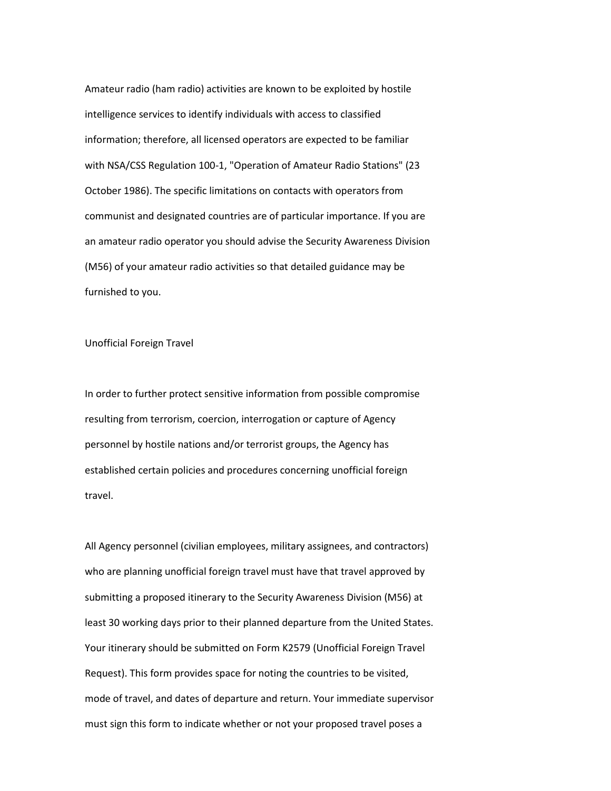Amateur radio (ham radio) activities are known to be exploited by hostile intelligence services to identify individuals with access to classified information; therefore, all licensed operators are expected to be familiar with NSA/CSS Regulation 100-1, "Operation of Amateur Radio Stations" (23 October 1986). The specific limitations on contacts with operators from communist and designated countries are of particular importance. If you are an amateur radio operator you should advise the Security Awareness Division (M56) of your amateur radio activities so that detailed guidance may be furnished to you.

Unofficial Foreign Travel

In order to further protect sensitive information from possible compromise resulting from terrorism, coercion, interrogation or capture of Agency personnel by hostile nations and/or terrorist groups, the Agency has established certain policies and procedures concerning unofficial foreign travel.

All Agency personnel (civilian employees, military assignees, and contractors) who are planning unofficial foreign travel must have that travel approved by submitting a proposed itinerary to the Security Awareness Division (M56) at least 30 working days prior to their planned departure from the United States. Your itinerary should be submitted on Form K2579 (Unofficial Foreign Travel Request). This form provides space for noting the countries to be visited, mode of travel, and dates of departure and return. Your immediate supervisor must sign this form to indicate whether or not your proposed travel poses a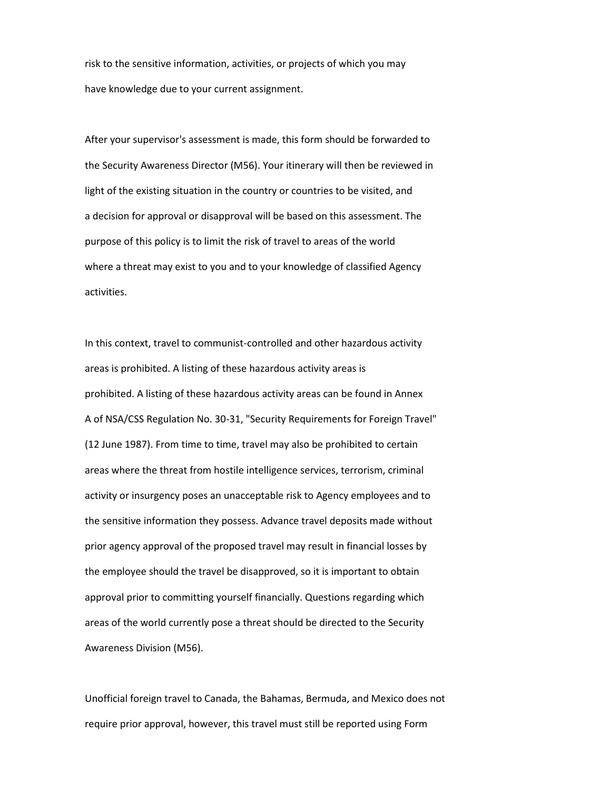risk to the sensitive information, activities, or projects of which you may have knowledge due to your current assignment.

After your supervisor's assessment is made, this form should be forwarded to the Security Awareness Director (M56). Your itinerary will then be reviewed in light of the existing situation in the country or countries to be visited, and a decision for approval or disapproval will be based on this assessment. The purpose of this policy is to limit the risk of travel to areas of the world where a threat may exist to you and to your knowledge of classified Agency activities.

In this context, travel to communist-controlled and other hazardous activity areas is prohibited. A listing of these hazardous activity areas is prohibited. A listing of these hazardous activity areas can be found in Annex A of NSA/CSS Regulation No. 30-31, "Security Requirements for Foreign Travel" (12 June 1987). From time to time, travel may also be prohibited to certain areas where the threat from hostile intelligence services, terrorism, criminal activity or insurgency poses an unacceptable risk to Agency employees and to the sensitive information they possess. Advance travel deposits made without prior agency approval of the proposed travel may result in financial losses by the employee should the travel be disapproved, so it is important to obtain approval prior to committing yourself financially. Questions regarding which areas of the world currently pose a threat should be directed to the Security Awareness Division (M56).

Unofficial foreign travel to Canada, the Bahamas, Bermuda, and Mexico does not require prior approval, however, this travel must still be reported using Form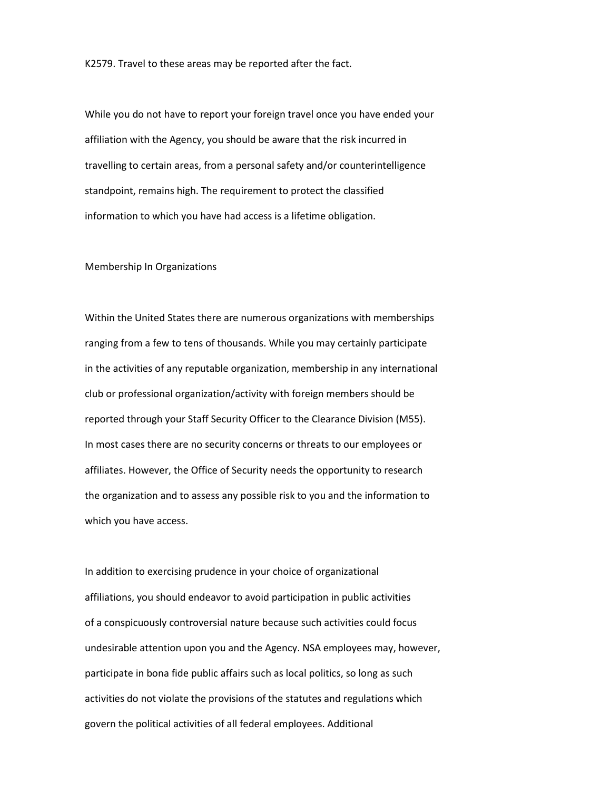K2579. Travel to these areas may be reported after the fact.

While you do not have to report your foreign travel once you have ended your affiliation with the Agency, you should be aware that the risk incurred in travelling to certain areas, from a personal safety and/or counterintelligence standpoint, remains high. The requirement to protect the classified information to which you have had access is a lifetime obligation.

# Membership In Organizations

Within the United States there are numerous organizations with memberships ranging from a few to tens of thousands. While you may certainly participate in the activities of any reputable organization, membership in any international club or professional organization/activity with foreign members should be reported through your Staff Security Officer to the Clearance Division (M55). In most cases there are no security concerns or threats to our employees or affiliates. However, the Office of Security needs the opportunity to research the organization and to assess any possible risk to you and the information to which you have access.

In addition to exercising prudence in your choice of organizational affiliations, you should endeavor to avoid participation in public activities of a conspicuously controversial nature because such activities could focus undesirable attention upon you and the Agency. NSA employees may, however, participate in bona fide public affairs such as local politics, so long as such activities do not violate the provisions of the statutes and regulations which govern the political activities of all federal employees. Additional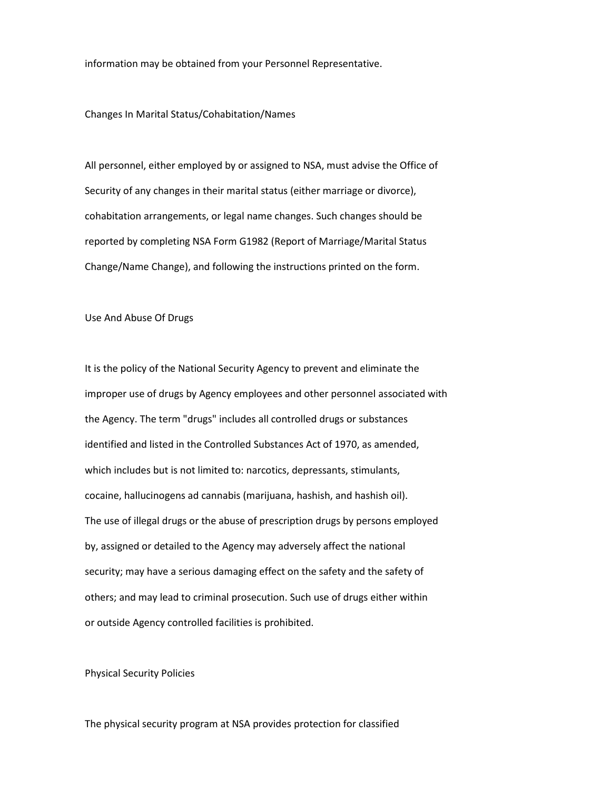information may be obtained from your Personnel Representative.

Changes In Marital Status/Cohabitation/Names

All personnel, either employed by or assigned to NSA, must advise the Office of Security of any changes in their marital status (either marriage or divorce), cohabitation arrangements, or legal name changes. Such changes should be reported by completing NSA Form G1982 (Report of Marriage/Marital Status Change/Name Change), and following the instructions printed on the form.

Use And Abuse Of Drugs

It is the policy of the National Security Agency to prevent and eliminate the improper use of drugs by Agency employees and other personnel associated with the Agency. The term "drugs" includes all controlled drugs or substances identified and listed in the Controlled Substances Act of 1970, as amended, which includes but is not limited to: narcotics, depressants, stimulants, cocaine, hallucinogens ad cannabis (marijuana, hashish, and hashish oil). The use of illegal drugs or the abuse of prescription drugs by persons employed by, assigned or detailed to the Agency may adversely affect the national security; may have a serious damaging effect on the safety and the safety of others; and may lead to criminal prosecution. Such use of drugs either within or outside Agency controlled facilities is prohibited.

Physical Security Policies

The physical security program at NSA provides protection for classified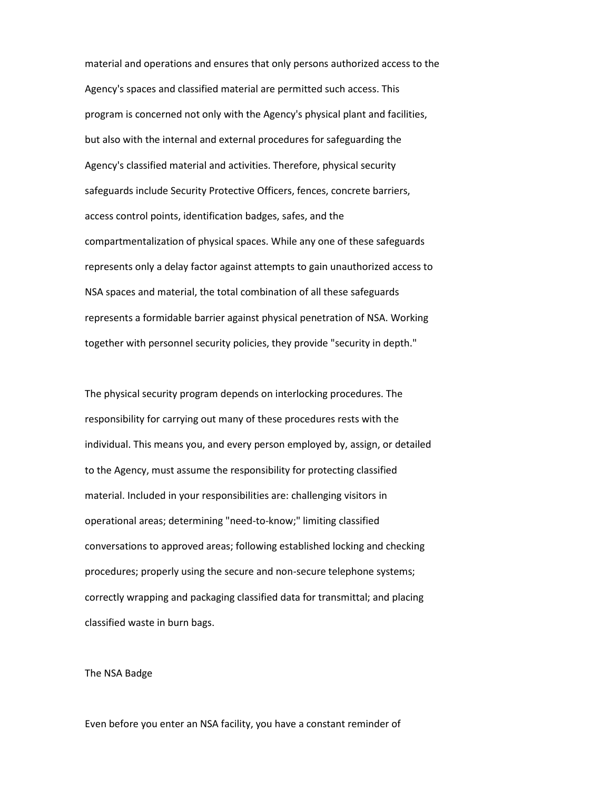material and operations and ensures that only persons authorized access to the Agency's spaces and classified material are permitted such access. This program is concerned not only with the Agency's physical plant and facilities, but also with the internal and external procedures for safeguarding the Agency's classified material and activities. Therefore, physical security safeguards include Security Protective Officers, fences, concrete barriers, access control points, identification badges, safes, and the compartmentalization of physical spaces. While any one of these safeguards represents only a delay factor against attempts to gain unauthorized access to NSA spaces and material, the total combination of all these safeguards represents a formidable barrier against physical penetration of NSA. Working together with personnel security policies, they provide "security in depth."

The physical security program depends on interlocking procedures. The responsibility for carrying out many of these procedures rests with the individual. This means you, and every person employed by, assign, or detailed to the Agency, must assume the responsibility for protecting classified material. Included in your responsibilities are: challenging visitors in operational areas; determining "need-to-know;" limiting classified conversations to approved areas; following established locking and checking procedures; properly using the secure and non-secure telephone systems; correctly wrapping and packaging classified data for transmittal; and placing classified waste in burn bags.

The NSA Badge

Even before you enter an NSA facility, you have a constant reminder of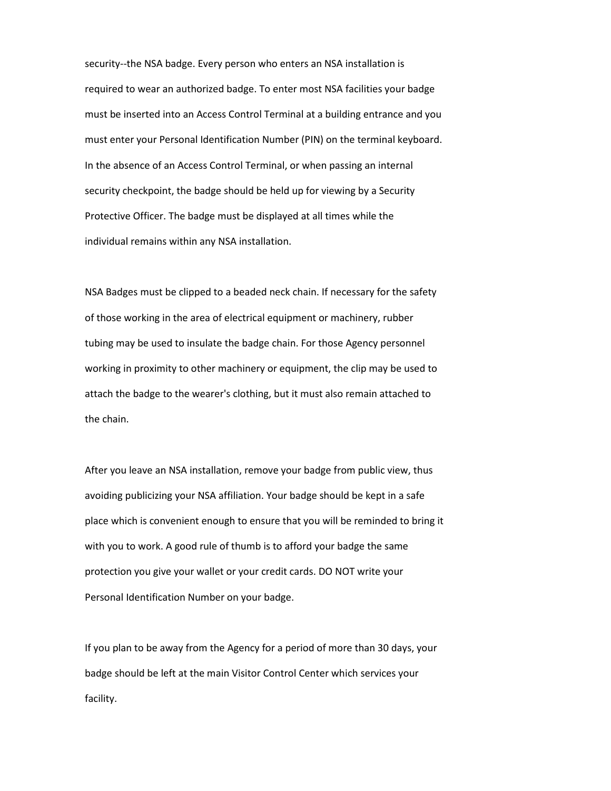security--the NSA badge. Every person who enters an NSA installation is required to wear an authorized badge. To enter most NSA facilities your badge must be inserted into an Access Control Terminal at a building entrance and you must enter your Personal Identification Number (PIN) on the terminal keyboard. In the absence of an Access Control Terminal, or when passing an internal security checkpoint, the badge should be held up for viewing by a Security Protective Officer. The badge must be displayed at all times while the individual remains within any NSA installation.

NSA Badges must be clipped to a beaded neck chain. If necessary for the safety of those working in the area of electrical equipment or machinery, rubber tubing may be used to insulate the badge chain. For those Agency personnel working in proximity to other machinery or equipment, the clip may be used to attach the badge to the wearer's clothing, but it must also remain attached to the chain.

After you leave an NSA installation, remove your badge from public view, thus avoiding publicizing your NSA affiliation. Your badge should be kept in a safe place which is convenient enough to ensure that you will be reminded to bring it with you to work. A good rule of thumb is to afford your badge the same protection you give your wallet or your credit cards. DO NOT write your Personal Identification Number on your badge.

If you plan to be away from the Agency for a period of more than 30 days, your badge should be left at the main Visitor Control Center which services your facility.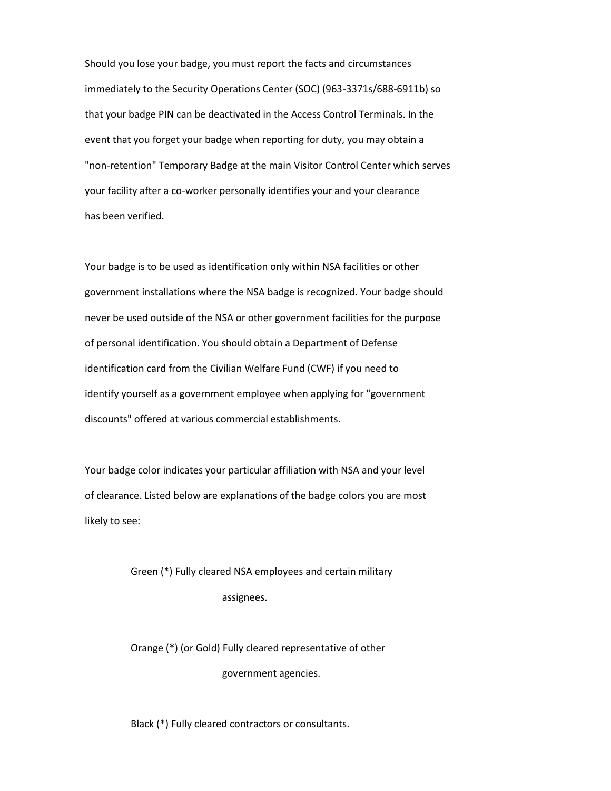Should you lose your badge, you must report the facts and circumstances immediately to the Security Operations Center (SOC) (963-3371s/688-6911b) so that your badge PIN can be deactivated in the Access Control Terminals. In the event that you forget your badge when reporting for duty, you may obtain a "non-retention" Temporary Badge at the main Visitor Control Center which serves your facility after a co-worker personally identifies your and your clearance has been verified.

Your badge is to be used as identification only within NSA facilities or other government installations where the NSA badge is recognized. Your badge should never be used outside of the NSA or other government facilities for the purpose of personal identification. You should obtain a Department of Defense identification card from the Civilian Welfare Fund (CWF) if you need to identify yourself as a government employee when applying for "government discounts" offered at various commercial establishments.

Your badge color indicates your particular affiliation with NSA and your level of clearance. Listed below are explanations of the badge colors you are most likely to see:

# Green (\*) Fully cleared NSA employees and certain military assignees.

Orange (\*) (or Gold) Fully cleared representative of other government agencies.

Black (\*) Fully cleared contractors or consultants.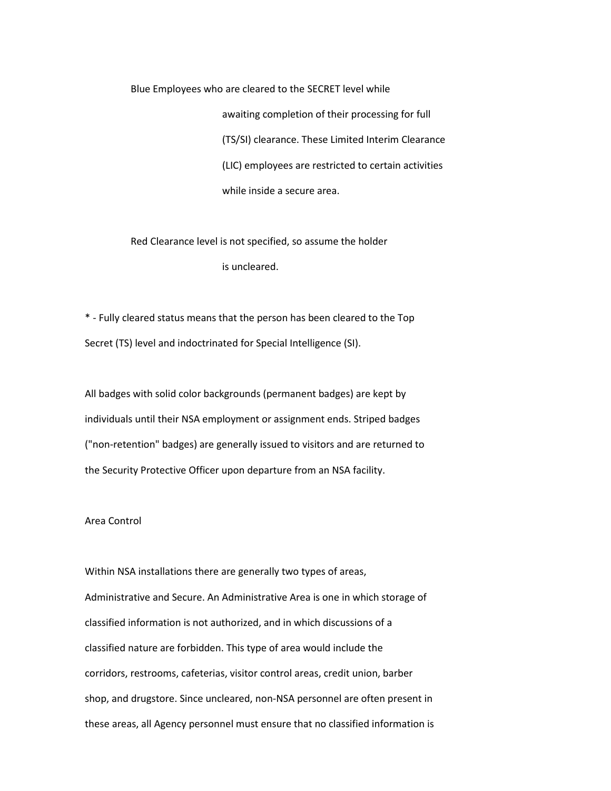Blue Employees who are cleared to the SECRET level while awaiting completion of their processing for full (TS/SI) clearance. These Limited Interim Clearance (LIC) employees are restricted to certain activities while inside a secure area.

Red Clearance level is not specified, so assume the holder is uncleared.

\* - Fully cleared status means that the person has been cleared to the Top Secret (TS) level and indoctrinated for Special Intelligence (SI).

All badges with solid color backgrounds (permanent badges) are kept by individuals until their NSA employment or assignment ends. Striped badges ("non-retention" badges) are generally issued to visitors and are returned to the Security Protective Officer upon departure from an NSA facility.

# Area Control

Within NSA installations there are generally two types of areas, Administrative and Secure. An Administrative Area is one in which storage of classified information is not authorized, and in which discussions of a classified nature are forbidden. This type of area would include the corridors, restrooms, cafeterias, visitor control areas, credit union, barber shop, and drugstore. Since uncleared, non-NSA personnel are often present in these areas, all Agency personnel must ensure that no classified information is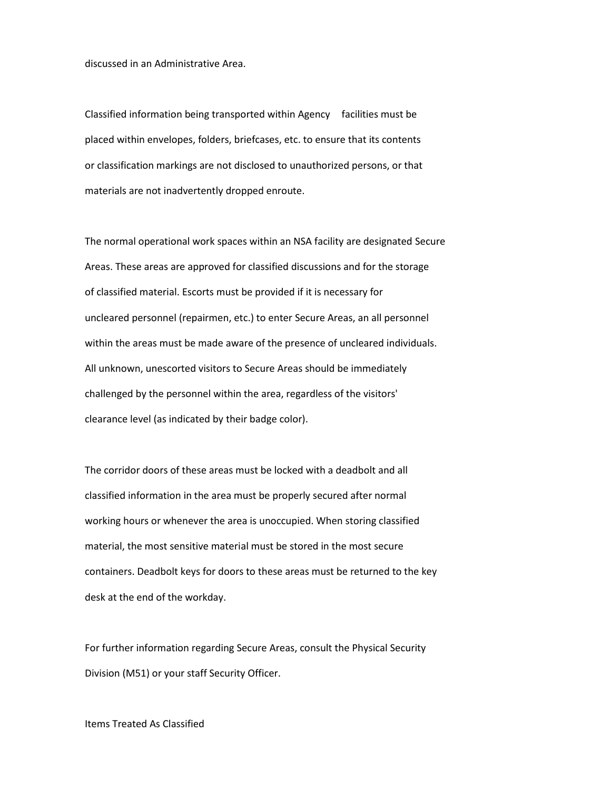discussed in an Administrative Area.

Classified information being transported within Agency facilities must be placed within envelopes, folders, briefcases, etc. to ensure that its contents or classification markings are not disclosed to unauthorized persons, or that materials are not inadvertently dropped enroute.

The normal operational work spaces within an NSA facility are designated Secure Areas. These areas are approved for classified discussions and for the storage of classified material. Escorts must be provided if it is necessary for uncleared personnel (repairmen, etc.) to enter Secure Areas, an all personnel within the areas must be made aware of the presence of uncleared individuals. All unknown, unescorted visitors to Secure Areas should be immediately challenged by the personnel within the area, regardless of the visitors' clearance level (as indicated by their badge color).

The corridor doors of these areas must be locked with a deadbolt and all classified information in the area must be properly secured after normal working hours or whenever the area is unoccupied. When storing classified material, the most sensitive material must be stored in the most secure containers. Deadbolt keys for doors to these areas must be returned to the key desk at the end of the workday.

For further information regarding Secure Areas, consult the Physical Security Division (M51) or your staff Security Officer.

Items Treated As Classified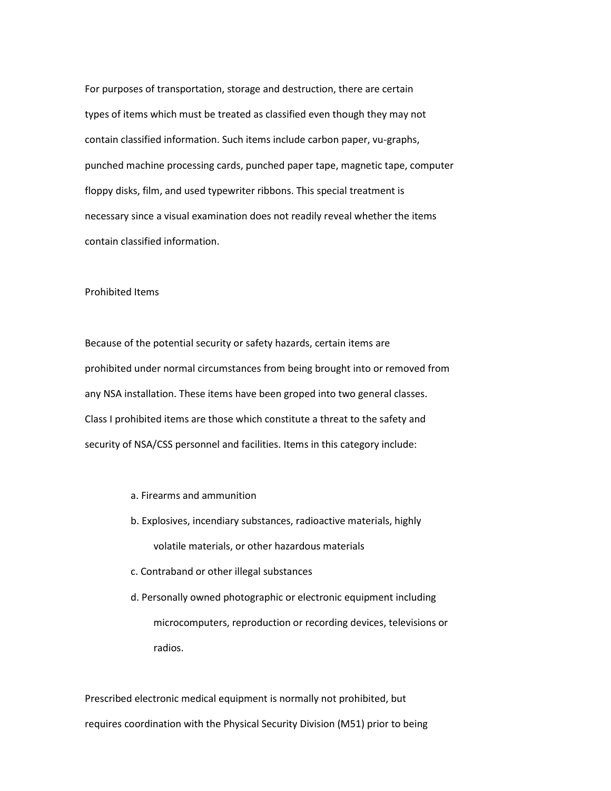For purposes of transportation, storage and destruction, there are certain types of items which must be treated as classified even though they may not contain classified information. Such items include carbon paper, vu-graphs, punched machine processing cards, punched paper tape, magnetic tape, computer floppy disks, film, and used typewriter ribbons. This special treatment is necessary since a visual examination does not readily reveal whether the items contain classified information.

#### Prohibited Items

Because of the potential security or safety hazards, certain items are prohibited under normal circumstances from being brought into or removed from any NSA installation. These items have been groped into two general classes. Class I prohibited items are those which constitute a threat to the safety and security of NSA/CSS personnel and facilities. Items in this category include:

- a. Firearms and ammunition
- b. Explosives, incendiary substances, radioactive materials, highly volatile materials, or other hazardous materials
- c. Contraband or other illegal substances
- d. Personally owned photographic or electronic equipment including microcomputers, reproduction or recording devices, televisions or radios.

Prescribed electronic medical equipment is normally not prohibited, but requires coordination with the Physical Security Division (M51) prior to being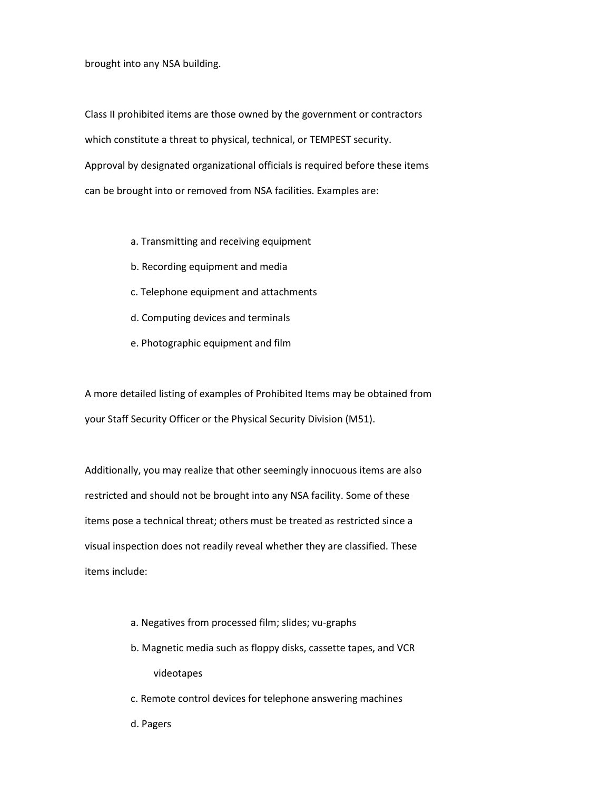brought into any NSA building.

Class II prohibited items are those owned by the government or contractors which constitute a threat to physical, technical, or TEMPEST security. Approval by designated organizational officials is required before these items can be brought into or removed from NSA facilities. Examples are:

- a. Transmitting and receiving equipment
- b. Recording equipment and media
- c. Telephone equipment and attachments
- d. Computing devices and terminals
- e. Photographic equipment and film

A more detailed listing of examples of Prohibited Items may be obtained from your Staff Security Officer or the Physical Security Division (M51).

Additionally, you may realize that other seemingly innocuous items are also restricted and should not be brought into any NSA facility. Some of these items pose a technical threat; others must be treated as restricted since a visual inspection does not readily reveal whether they are classified. These items include:

- a. Negatives from processed film; slides; vu-graphs
- b. Magnetic media such as floppy disks, cassette tapes, and VCR videotapes
- c. Remote control devices for telephone answering machines d. Pagers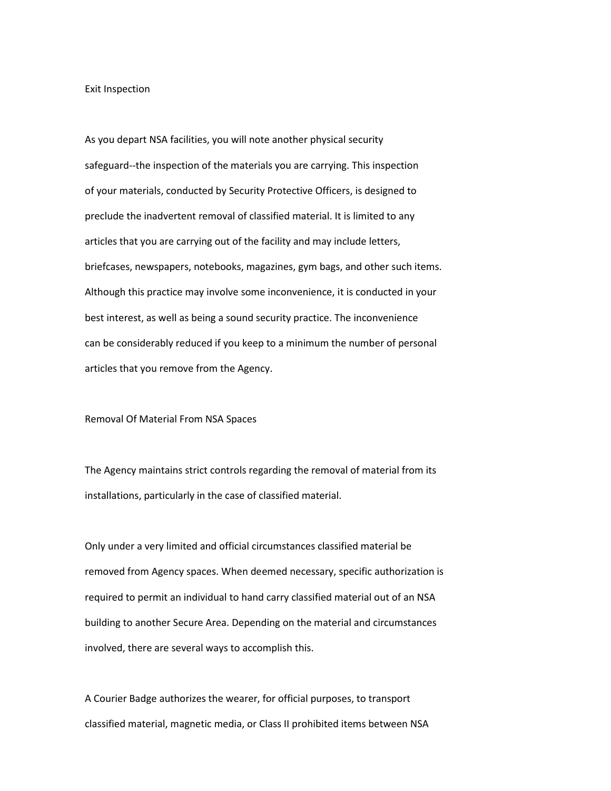#### Exit Inspection

As you depart NSA facilities, you will note another physical security safeguard--the inspection of the materials you are carrying. This inspection of your materials, conducted by Security Protective Officers, is designed to preclude the inadvertent removal of classified material. It is limited to any articles that you are carrying out of the facility and may include letters, briefcases, newspapers, notebooks, magazines, gym bags, and other such items. Although this practice may involve some inconvenience, it is conducted in your best interest, as well as being a sound security practice. The inconvenience can be considerably reduced if you keep to a minimum the number of personal articles that you remove from the Agency.

#### Removal Of Material From NSA Spaces

The Agency maintains strict controls regarding the removal of material from its installations, particularly in the case of classified material.

Only under a very limited and official circumstances classified material be removed from Agency spaces. When deemed necessary, specific authorization is required to permit an individual to hand carry classified material out of an NSA building to another Secure Area. Depending on the material and circumstances involved, there are several ways to accomplish this.

A Courier Badge authorizes the wearer, for official purposes, to transport classified material, magnetic media, or Class II prohibited items between NSA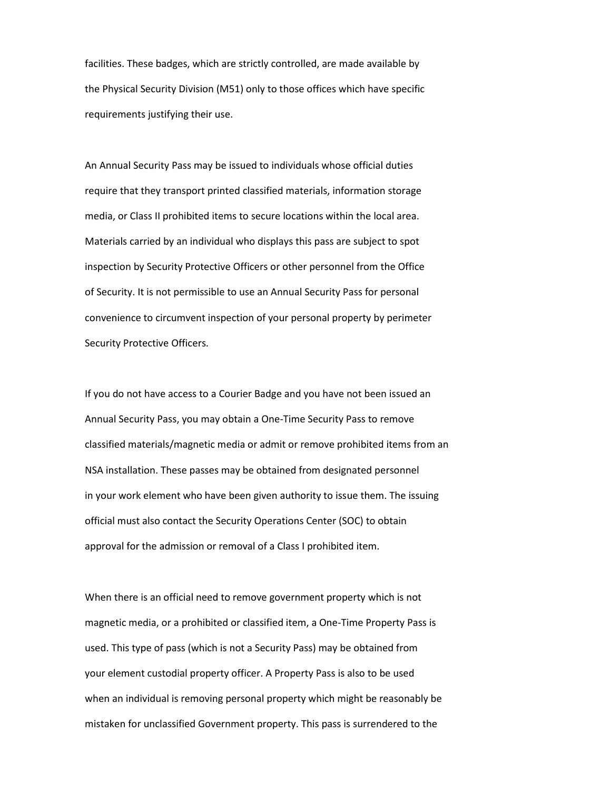facilities. These badges, which are strictly controlled, are made available by the Physical Security Division (M51) only to those offices which have specific requirements justifying their use.

An Annual Security Pass may be issued to individuals whose official duties require that they transport printed classified materials, information storage media, or Class II prohibited items to secure locations within the local area. Materials carried by an individual who displays this pass are subject to spot inspection by Security Protective Officers or other personnel from the Office of Security. It is not permissible to use an Annual Security Pass for personal convenience to circumvent inspection of your personal property by perimeter Security Protective Officers.

If you do not have access to a Courier Badge and you have not been issued an Annual Security Pass, you may obtain a One-Time Security Pass to remove classified materials/magnetic media or admit or remove prohibited items from an NSA installation. These passes may be obtained from designated personnel in your work element who have been given authority to issue them. The issuing official must also contact the Security Operations Center (SOC) to obtain approval for the admission or removal of a Class I prohibited item.

When there is an official need to remove government property which is not magnetic media, or a prohibited or classified item, a One-Time Property Pass is used. This type of pass (which is not a Security Pass) may be obtained from your element custodial property officer. A Property Pass is also to be used when an individual is removing personal property which might be reasonably be mistaken for unclassified Government property. This pass is surrendered to the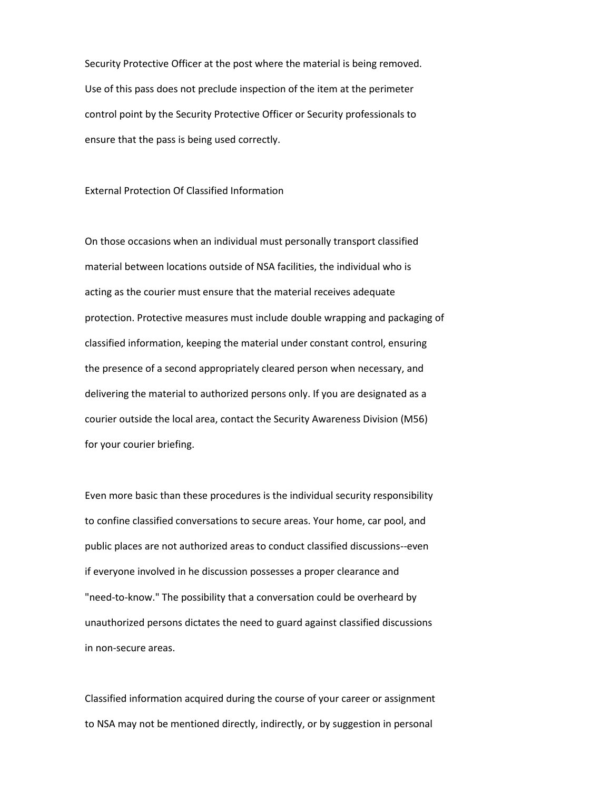Security Protective Officer at the post where the material is being removed. Use of this pass does not preclude inspection of the item at the perimeter control point by the Security Protective Officer or Security professionals to ensure that the pass is being used correctly.

#### External Protection Of Classified Information

On those occasions when an individual must personally transport classified material between locations outside of NSA facilities, the individual who is acting as the courier must ensure that the material receives adequate protection. Protective measures must include double wrapping and packaging of classified information, keeping the material under constant control, ensuring the presence of a second appropriately cleared person when necessary, and delivering the material to authorized persons only. If you are designated as a courier outside the local area, contact the Security Awareness Division (M56) for your courier briefing.

Even more basic than these procedures is the individual security responsibility to confine classified conversations to secure areas. Your home, car pool, and public places are not authorized areas to conduct classified discussions--even if everyone involved in he discussion possesses a proper clearance and "need-to-know." The possibility that a conversation could be overheard by unauthorized persons dictates the need to guard against classified discussions in non-secure areas.

Classified information acquired during the course of your career or assignment to NSA may not be mentioned directly, indirectly, or by suggestion in personal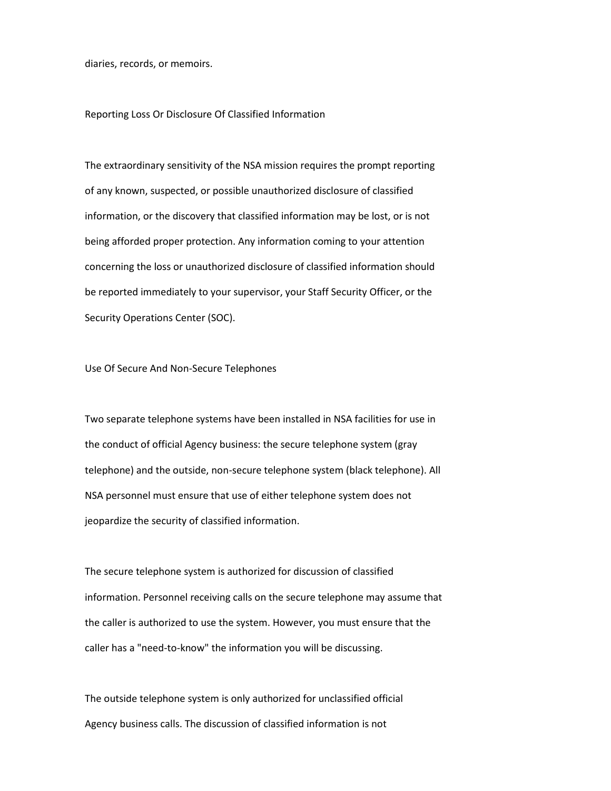diaries, records, or memoirs.

Reporting Loss Or Disclosure Of Classified Information

The extraordinary sensitivity of the NSA mission requires the prompt reporting of any known, suspected, or possible unauthorized disclosure of classified information, or the discovery that classified information may be lost, or is not being afforded proper protection. Any information coming to your attention concerning the loss or unauthorized disclosure of classified information should be reported immediately to your supervisor, your Staff Security Officer, or the Security Operations Center (SOC).

Use Of Secure And Non-Secure Telephones

Two separate telephone systems have been installed in NSA facilities for use in the conduct of official Agency business: the secure telephone system (gray telephone) and the outside, non-secure telephone system (black telephone). All NSA personnel must ensure that use of either telephone system does not jeopardize the security of classified information.

The secure telephone system is authorized for discussion of classified information. Personnel receiving calls on the secure telephone may assume that the caller is authorized to use the system. However, you must ensure that the caller has a "need-to-know" the information you will be discussing.

The outside telephone system is only authorized for unclassified official Agency business calls. The discussion of classified information is not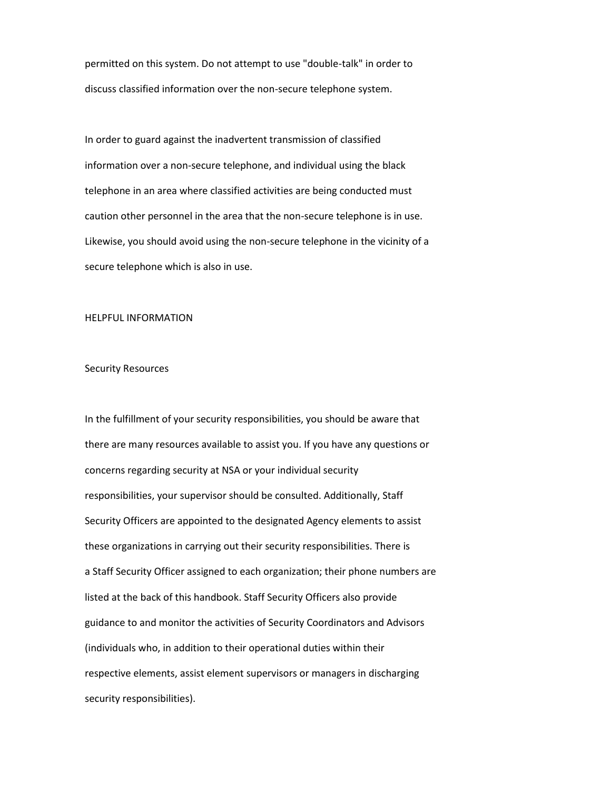permitted on this system. Do not attempt to use "double-talk" in order to discuss classified information over the non-secure telephone system.

In order to guard against the inadvertent transmission of classified information over a non-secure telephone, and individual using the black telephone in an area where classified activities are being conducted must caution other personnel in the area that the non-secure telephone is in use. Likewise, you should avoid using the non-secure telephone in the vicinity of a secure telephone which is also in use.

## HELPFUL INFORMATION

#### Security Resources

In the fulfillment of your security responsibilities, you should be aware that there are many resources available to assist you. If you have any questions or concerns regarding security at NSA or your individual security responsibilities, your supervisor should be consulted. Additionally, Staff Security Officers are appointed to the designated Agency elements to assist these organizations in carrying out their security responsibilities. There is a Staff Security Officer assigned to each organization; their phone numbers are listed at the back of this handbook. Staff Security Officers also provide guidance to and monitor the activities of Security Coordinators and Advisors (individuals who, in addition to their operational duties within their respective elements, assist element supervisors or managers in discharging security responsibilities).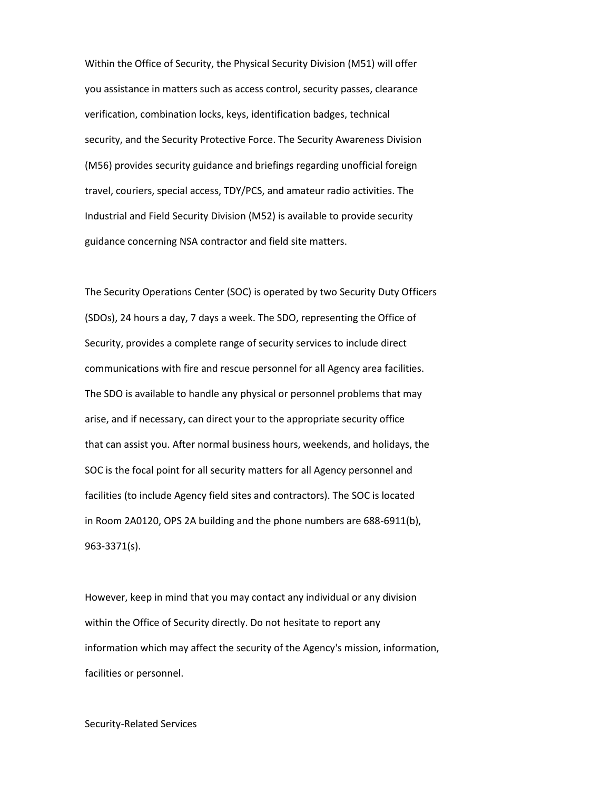Within the Office of Security, the Physical Security Division (M51) will offer you assistance in matters such as access control, security passes, clearance verification, combination locks, keys, identification badges, technical security, and the Security Protective Force. The Security Awareness Division (M56) provides security guidance and briefings regarding unofficial foreign travel, couriers, special access, TDY/PCS, and amateur radio activities. The Industrial and Field Security Division (M52) is available to provide security guidance concerning NSA contractor and field site matters.

The Security Operations Center (SOC) is operated by two Security Duty Officers (SDOs), 24 hours a day, 7 days a week. The SDO, representing the Office of Security, provides a complete range of security services to include direct communications with fire and rescue personnel for all Agency area facilities. The SDO is available to handle any physical or personnel problems that may arise, and if necessary, can direct your to the appropriate security office that can assist you. After normal business hours, weekends, and holidays, the SOC is the focal point for all security matters for all Agency personnel and facilities (to include Agency field sites and contractors). The SOC is located in Room 2A0120, OPS 2A building and the phone numbers are 688-6911(b), 963-3371(s).

However, keep in mind that you may contact any individual or any division within the Office of Security directly. Do not hesitate to report any information which may affect the security of the Agency's mission, information, facilities or personnel.

# Security-Related Services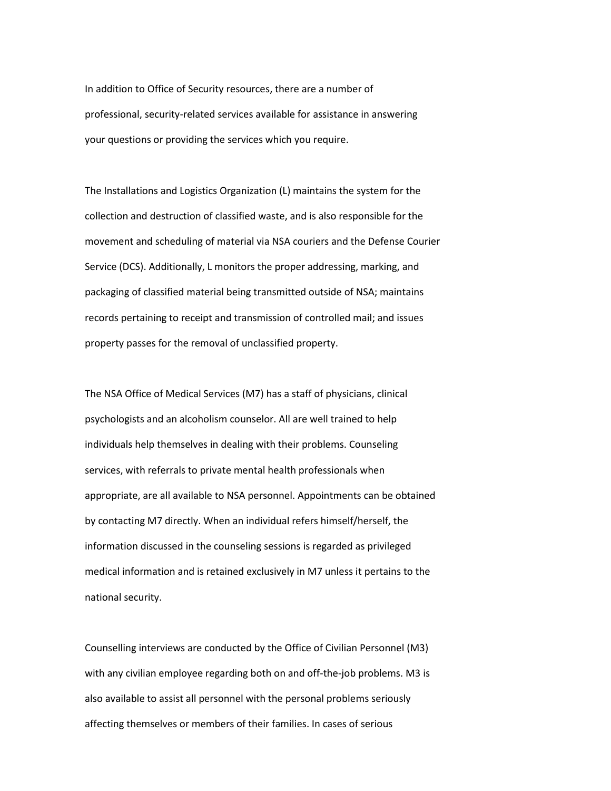In addition to Office of Security resources, there are a number of professional, security-related services available for assistance in answering your questions or providing the services which you require.

The Installations and Logistics Organization (L) maintains the system for the collection and destruction of classified waste, and is also responsible for the movement and scheduling of material via NSA couriers and the Defense Courier Service (DCS). Additionally, L monitors the proper addressing, marking, and packaging of classified material being transmitted outside of NSA; maintains records pertaining to receipt and transmission of controlled mail; and issues property passes for the removal of unclassified property.

The NSA Office of Medical Services (M7) has a staff of physicians, clinical psychologists and an alcoholism counselor. All are well trained to help individuals help themselves in dealing with their problems. Counseling services, with referrals to private mental health professionals when appropriate, are all available to NSA personnel. Appointments can be obtained by contacting M7 directly. When an individual refers himself/herself, the information discussed in the counseling sessions is regarded as privileged medical information and is retained exclusively in M7 unless it pertains to the national security.

Counselling interviews are conducted by the Office of Civilian Personnel (M3) with any civilian employee regarding both on and off-the-job problems. M3 is also available to assist all personnel with the personal problems seriously affecting themselves or members of their families. In cases of serious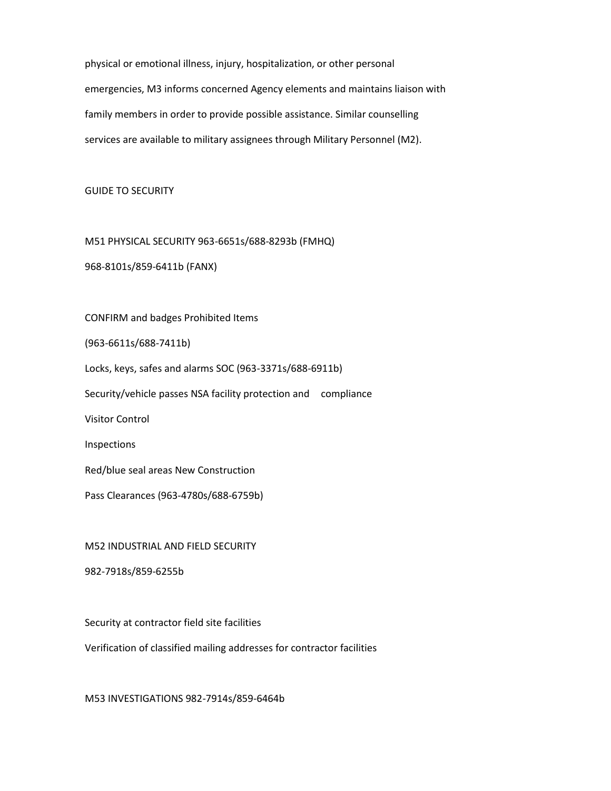physical or emotional illness, injury, hospitalization, or other personal emergencies, M3 informs concerned Agency elements and maintains liaison with family members in order to provide possible assistance. Similar counselling services are available to military assignees through Military Personnel (M2).

GUIDE TO SECURITY

M51 PHYSICAL SECURITY 963-6651s/688-8293b (FMHQ)

968-8101s/859-6411b (FANX)

#### CONFIRM and badges Prohibited Items

(963-6611s/688-7411b)

Locks, keys, safes and alarms SOC (963-3371s/688-6911b)

Security/vehicle passes NSA facility protection and compliance

Visitor Control

Inspections

Red/blue seal areas New Construction

Pass Clearances (963-4780s/688-6759b)

M52 INDUSTRIAL AND FIELD SECURITY

982-7918s/859-6255b

Security at contractor field site facilities

Verification of classified mailing addresses for contractor facilities

M53 INVESTIGATIONS 982-7914s/859-6464b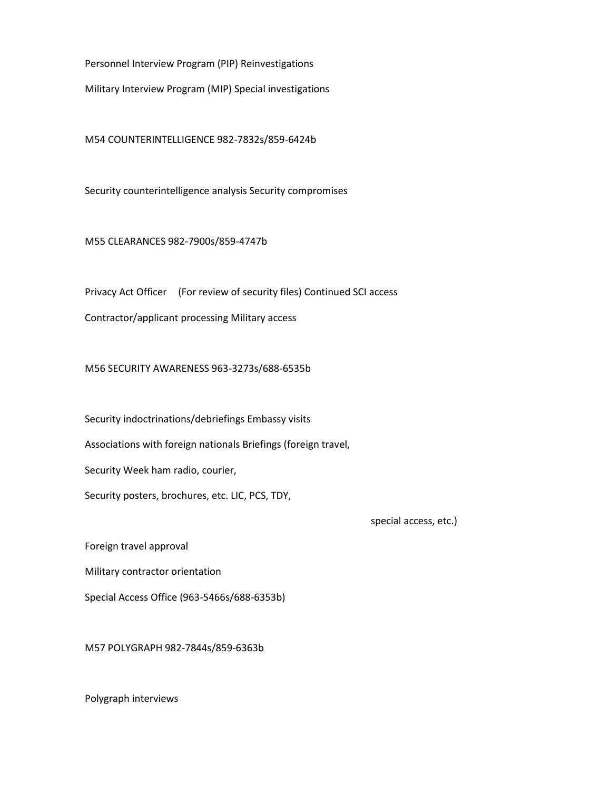Personnel Interview Program (PIP) Reinvestigations

Military Interview Program (MIP) Special investigations

M54 COUNTERINTELLIGENCE 982-7832s/859-6424b

Security counterintelligence analysis Security compromises

M55 CLEARANCES 982-7900s/859-4747b

Privacy Act Officer (For review of security files) Continued SCI access

Contractor/applicant processing Military access

M56 SECURITY AWARENESS 963-3273s/688-6535b

Security indoctrinations/debriefings Embassy visits

Associations with foreign nationals Briefings (foreign travel,

Security Week ham radio, courier,

Security posters, brochures, etc. LIC, PCS, TDY,

special access, etc.)

Foreign travel approval

Military contractor orientation

Special Access Office (963-5466s/688-6353b)

M57 POLYGRAPH 982-7844s/859-6363b

Polygraph interviews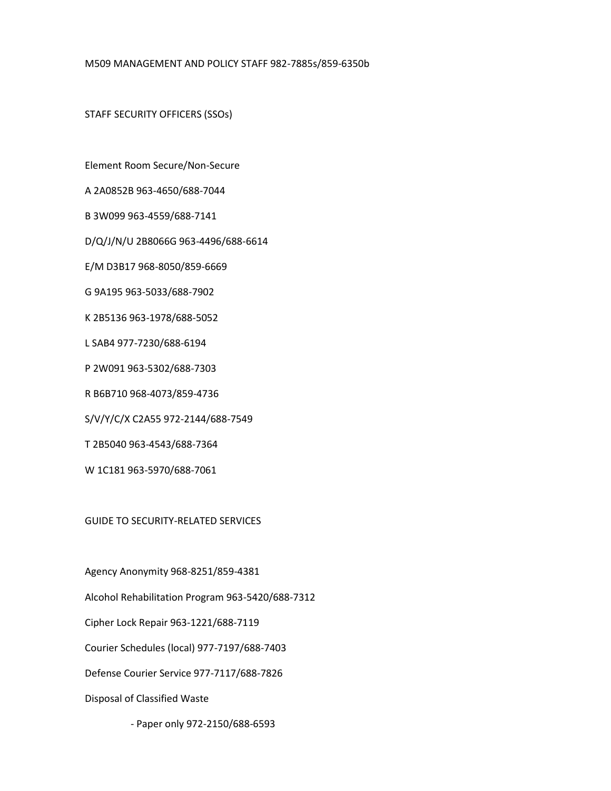# M509 MANAGEMENT AND POLICY STAFF 982-7885s/859-6350b

# STAFF SECURITY OFFICERS (SSOs)

Element Room Secure/Non-Secure

A 2A0852B 963-4650/688-7044

B 3W099 963-4559/688-7141

D/Q/J/N/U 2B8066G 963-4496/688-6614

E/M D3B17 968-8050/859-6669

G 9A195 963-5033/688-7902

K 2B5136 963-1978/688-5052

L SAB4 977-7230/688-6194

P 2W091 963-5302/688-7303

R B6B710 968-4073/859-4736

S/V/Y/C/X C2A55 972-2144/688-7549

T 2B5040 963-4543/688-7364

W 1C181 963-5970/688-7061

GUIDE TO SECURITY-RELATED SERVICES

Agency Anonymity 968-8251/859-4381

Alcohol Rehabilitation Program 963-5420/688-7312

Cipher Lock Repair 963-1221/688-7119

Courier Schedules (local) 977-7197/688-7403

Defense Courier Service 977-7117/688-7826

Disposal of Classified Waste

- Paper only 972-2150/688-6593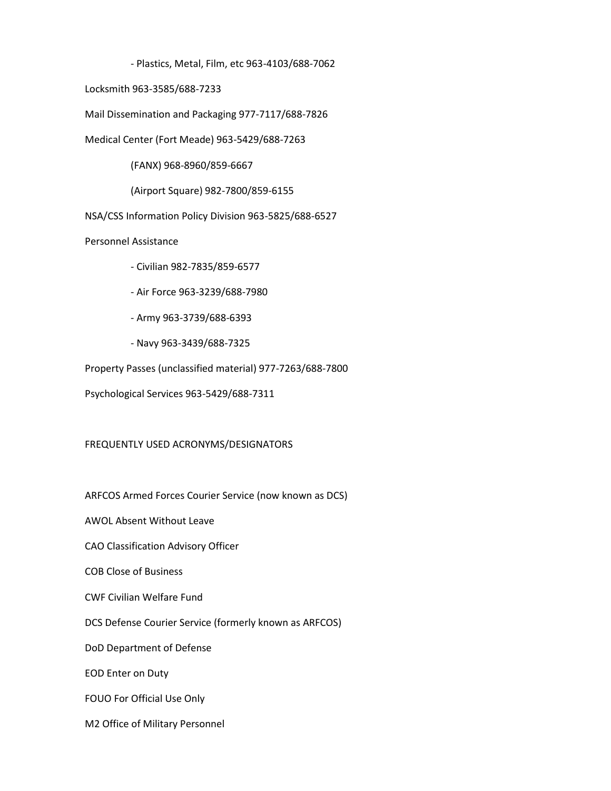- Plastics, Metal, Film, etc 963-4103/688-7062

Locksmith 963-3585/688-7233

Mail Dissemination and Packaging 977-7117/688-7826

Medical Center (Fort Meade) 963-5429/688-7263

(FANX) 968-8960/859-6667

(Airport Square) 982-7800/859-6155

NSA/CSS Information Policy Division 963-5825/688-6527

Personnel Assistance

- Civilian 982-7835/859-6577
- Air Force 963-3239/688-7980
- Army 963-3739/688-6393
- Navy 963-3439/688-7325

Property Passes (unclassified material) 977-7263/688-7800

Psychological Services 963-5429/688-7311

FREQUENTLY USED ACRONYMS/DESIGNATORS

ARFCOS Armed Forces Courier Service (now known as DCS)

AWOL Absent Without Leave

CAO Classification Advisory Officer

COB Close of Business

CWF Civilian Welfare Fund

DCS Defense Courier Service (formerly known as ARFCOS)

DoD Department of Defense

EOD Enter on Duty

FOUO For Official Use Only

M2 Office of Military Personnel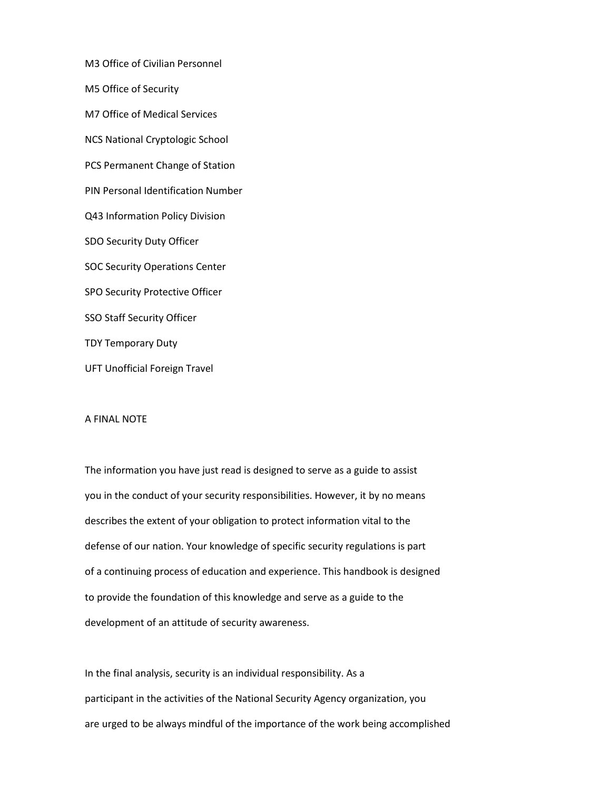M3 Office of Civilian Personnel M5 Office of Security M7 Office of Medical Services NCS National Cryptologic School PCS Permanent Change of Station PIN Personal Identification Number Q43 Information Policy Division SDO Security Duty Officer SOC Security Operations Center SPO Security Protective Officer SSO Staff Security Officer TDY Temporary Duty UFT Unofficial Foreign Travel

### A FINAL NOTE

The information you have just read is designed to serve as a guide to assist you in the conduct of your security responsibilities. However, it by no means describes the extent of your obligation to protect information vital to the defense of our nation. Your knowledge of specific security regulations is part of a continuing process of education and experience. This handbook is designed to provide the foundation of this knowledge and serve as a guide to the development of an attitude of security awareness.

In the final analysis, security is an individual responsibility. As a participant in the activities of the National Security Agency organization, you are urged to be always mindful of the importance of the work being accomplished